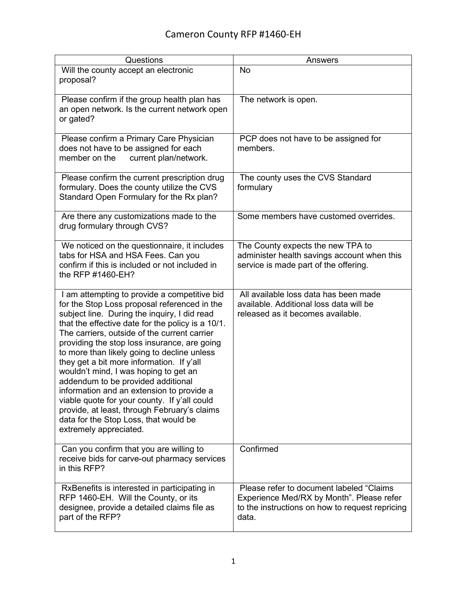## Cameron County RFP #1460-EH

| Questions                                                                                                                                                                                                                                                                                                                                                                                                                                                                                                                                                                                                                                                                                    | <b>Answers</b>                                                                                                                                     |
|----------------------------------------------------------------------------------------------------------------------------------------------------------------------------------------------------------------------------------------------------------------------------------------------------------------------------------------------------------------------------------------------------------------------------------------------------------------------------------------------------------------------------------------------------------------------------------------------------------------------------------------------------------------------------------------------|----------------------------------------------------------------------------------------------------------------------------------------------------|
| Will the county accept an electronic<br>proposal?                                                                                                                                                                                                                                                                                                                                                                                                                                                                                                                                                                                                                                            | No                                                                                                                                                 |
| Please confirm if the group health plan has<br>an open network. Is the current network open<br>or gated?                                                                                                                                                                                                                                                                                                                                                                                                                                                                                                                                                                                     | The network is open.                                                                                                                               |
| Please confirm a Primary Care Physician<br>does not have to be assigned for each<br>current plan/network.<br>member on the                                                                                                                                                                                                                                                                                                                                                                                                                                                                                                                                                                   | PCP does not have to be assigned for<br>members.                                                                                                   |
| Please confirm the current prescription drug<br>formulary. Does the county utilize the CVS<br>Standard Open Formulary for the Rx plan?                                                                                                                                                                                                                                                                                                                                                                                                                                                                                                                                                       | The county uses the CVS Standard<br>formulary                                                                                                      |
| Are there any customizations made to the<br>drug formulary through CVS?                                                                                                                                                                                                                                                                                                                                                                                                                                                                                                                                                                                                                      | Some members have customed overrides.                                                                                                              |
| We noticed on the questionnaire, it includes<br>tabs for HSA and HSA Fees. Can you<br>confirm if this is included or not included in<br>the RFP #1460-EH?                                                                                                                                                                                                                                                                                                                                                                                                                                                                                                                                    | The County expects the new TPA to<br>administer health savings account when this<br>service is made part of the offering.                          |
| I am attempting to provide a competitive bid<br>for the Stop Loss proposal referenced in the<br>subject line. During the inquiry, I did read<br>that the effective date for the policy is a 10/1.<br>The carriers, outside of the current carrier<br>providing the stop loss insurance, are going<br>to more than likely going to decline unless<br>they get a bit more information. If y'all<br>wouldn't mind, I was hoping to get an<br>addendum to be provided additional<br>information and an extension to provide a<br>viable quote for your county. If y'all could<br>provide, at least, through February's claims<br>data for the Stop Loss, that would be<br>extremely appreciated. | All available loss data has been made<br>available. Additional loss data will be<br>released as it becomes available.                              |
| Can you confirm that you are willing to<br>receive bids for carve-out pharmacy services<br>in this RFP?                                                                                                                                                                                                                                                                                                                                                                                                                                                                                                                                                                                      | Confirmed                                                                                                                                          |
| RxBenefits is interested in participating in<br>RFP 1460-EH. Will the County, or its<br>designee, provide a detailed claims file as<br>part of the RFP?                                                                                                                                                                                                                                                                                                                                                                                                                                                                                                                                      | Please refer to document labeled "Claims"<br>Experience Med/RX by Month". Please refer<br>to the instructions on how to request repricing<br>data. |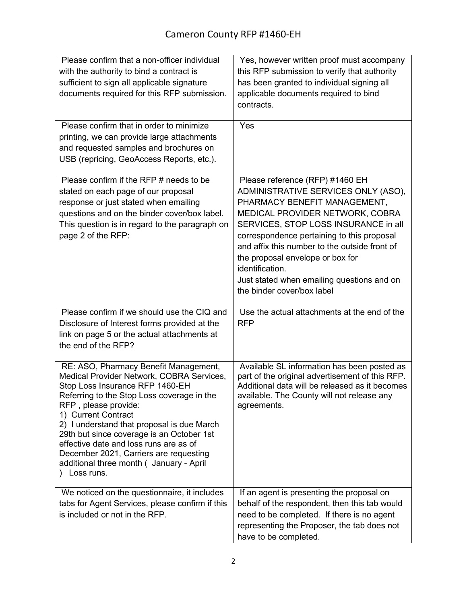| Please confirm that a non-officer individual<br>with the authority to bind a contract is<br>sufficient to sign all applicable signature<br>documents required for this RFP submission.                                                                                                                                                                                                                                                                        | Yes, however written proof must accompany<br>this RFP submission to verify that authority<br>has been granted to individual signing all<br>applicable documents required to bind<br>contracts.                                                                                                                                                                                                                      |
|---------------------------------------------------------------------------------------------------------------------------------------------------------------------------------------------------------------------------------------------------------------------------------------------------------------------------------------------------------------------------------------------------------------------------------------------------------------|---------------------------------------------------------------------------------------------------------------------------------------------------------------------------------------------------------------------------------------------------------------------------------------------------------------------------------------------------------------------------------------------------------------------|
| Please confirm that in order to minimize<br>printing, we can provide large attachments<br>and requested samples and brochures on<br>USB (repricing, GeoAccess Reports, etc.).                                                                                                                                                                                                                                                                                 | Yes                                                                                                                                                                                                                                                                                                                                                                                                                 |
| Please confirm if the RFP # needs to be<br>stated on each page of our proposal<br>response or just stated when emailing<br>questions and on the binder cover/box label.<br>This question is in regard to the paragraph on<br>page 2 of the RFP:                                                                                                                                                                                                               | Please reference (RFP) #1460 EH<br>ADMINISTRATIVE SERVICES ONLY (ASO),<br>PHARMACY BENEFIT MANAGEMENT,<br>MEDICAL PROVIDER NETWORK, COBRA<br>SERVICES, STOP LOSS INSURANCE in all<br>correspondence pertaining to this proposal<br>and affix this number to the outside front of<br>the proposal envelope or box for<br>identification.<br>Just stated when emailing questions and on<br>the binder cover/box label |
| Please confirm if we should use the CIQ and<br>Disclosure of Interest forms provided at the<br>link on page 5 or the actual attachments at<br>the end of the RFP?                                                                                                                                                                                                                                                                                             | Use the actual attachments at the end of the<br><b>RFP</b>                                                                                                                                                                                                                                                                                                                                                          |
| RE: ASO, Pharmacy Benefit Management,<br>Medical Provider Network, COBRA Services,<br>Stop Loss Insurance RFP 1460-EH<br>Referring to the Stop Loss coverage in the<br>RFP, please provide:<br>1) Current Contract<br>2) I understand that proposal is due March<br>29th but since coverage is an October 1st<br>effective date and loss runs are as of<br>December 2021, Carriers are requesting<br>additional three month ( January - April<br>) Loss runs. | Available SL information has been posted as<br>part of the original advertisement of this RFP.<br>Additional data will be released as it becomes<br>available. The County will not release any<br>agreements.                                                                                                                                                                                                       |
| We noticed on the questionnaire, it includes<br>tabs for Agent Services, please confirm if this<br>is included or not in the RFP.                                                                                                                                                                                                                                                                                                                             | If an agent is presenting the proposal on<br>behalf of the respondent, then this tab would<br>need to be completed. If there is no agent<br>representing the Proposer, the tab does not<br>have to be completed.                                                                                                                                                                                                    |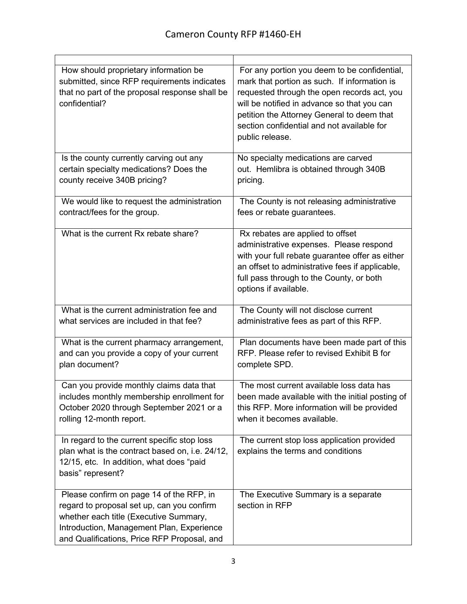| How should proprietary information be<br>submitted, since RFP requirements indicates<br>that no part of the proposal response shall be<br>confidential?                                                                      | For any portion you deem to be confidential,<br>mark that portion as such. If information is<br>requested through the open records act, you<br>will be notified in advance so that you can<br>petition the Attorney General to deem that<br>section confidential and not available for<br>public release. |
|------------------------------------------------------------------------------------------------------------------------------------------------------------------------------------------------------------------------------|-----------------------------------------------------------------------------------------------------------------------------------------------------------------------------------------------------------------------------------------------------------------------------------------------------------|
| Is the county currently carving out any                                                                                                                                                                                      | No specialty medications are carved                                                                                                                                                                                                                                                                       |
| certain specialty medications? Does the                                                                                                                                                                                      | out. Hemlibra is obtained through 340B                                                                                                                                                                                                                                                                    |
| county receive 340B pricing?                                                                                                                                                                                                 | pricing.                                                                                                                                                                                                                                                                                                  |
| We would like to request the administration                                                                                                                                                                                  | The County is not releasing administrative                                                                                                                                                                                                                                                                |
| contract/fees for the group.                                                                                                                                                                                                 | fees or rebate guarantees.                                                                                                                                                                                                                                                                                |
| What is the current Rx rebate share?                                                                                                                                                                                         | Rx rebates are applied to offset<br>administrative expenses. Please respond<br>with your full rebate guarantee offer as either<br>an offset to administrative fees if applicable,<br>full pass through to the County, or both<br>options if available.                                                    |
| What is the current administration fee and                                                                                                                                                                                   | The County will not disclose current                                                                                                                                                                                                                                                                      |
| what services are included in that fee?                                                                                                                                                                                      | administrative fees as part of this RFP.                                                                                                                                                                                                                                                                  |
| What is the current pharmacy arrangement,                                                                                                                                                                                    | Plan documents have been made part of this                                                                                                                                                                                                                                                                |
| and can you provide a copy of your current                                                                                                                                                                                   | RFP. Please refer to revised Exhibit B for                                                                                                                                                                                                                                                                |
| plan document?                                                                                                                                                                                                               | complete SPD.                                                                                                                                                                                                                                                                                             |
| Can you provide monthly claims data that                                                                                                                                                                                     | The most current available loss data has                                                                                                                                                                                                                                                                  |
| includes monthly membership enrollment for                                                                                                                                                                                   | been made available with the initial posting of                                                                                                                                                                                                                                                           |
| October 2020 through September 2021 or a                                                                                                                                                                                     | this RFP. More information will be provided                                                                                                                                                                                                                                                               |
| rolling 12-month report.                                                                                                                                                                                                     | when it becomes available.                                                                                                                                                                                                                                                                                |
| In regard to the current specific stop loss<br>plan what is the contract based on, i.e. 24/12,<br>12/15, etc. In addition, what does "paid<br>basis" represent?                                                              | The current stop loss application provided<br>explains the terms and conditions                                                                                                                                                                                                                           |
| Please confirm on page 14 of the RFP, in<br>regard to proposal set up, can you confirm<br>whether each title (Executive Summary,<br>Introduction, Management Plan, Experience<br>and Qualifications, Price RFP Proposal, and | The Executive Summary is a separate<br>section in RFP                                                                                                                                                                                                                                                     |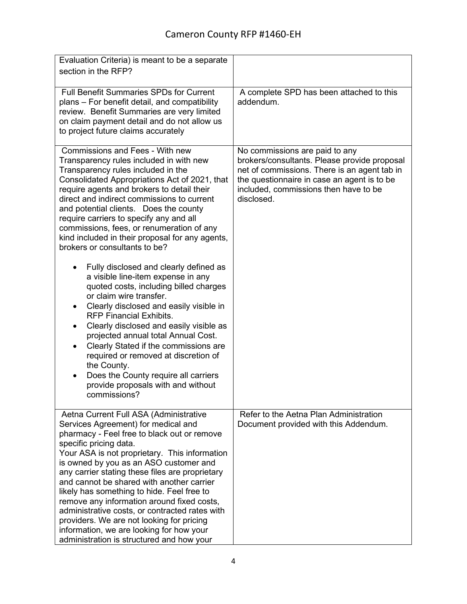| Evaluation Criteria) is meant to be a separate<br>section in the RFP?                                                                                                                                                                                                                                                                                                                                                                                                                                                                                                                                                                                                                                                                                                                                                                                                                                                                                                                                                                |                                                                                                                                                                                                                                      |
|--------------------------------------------------------------------------------------------------------------------------------------------------------------------------------------------------------------------------------------------------------------------------------------------------------------------------------------------------------------------------------------------------------------------------------------------------------------------------------------------------------------------------------------------------------------------------------------------------------------------------------------------------------------------------------------------------------------------------------------------------------------------------------------------------------------------------------------------------------------------------------------------------------------------------------------------------------------------------------------------------------------------------------------|--------------------------------------------------------------------------------------------------------------------------------------------------------------------------------------------------------------------------------------|
| <b>Full Benefit Summaries SPDs for Current</b><br>plans - For benefit detail, and compatibility<br>review. Benefit Summaries are very limited<br>on claim payment detail and do not allow us<br>to project future claims accurately                                                                                                                                                                                                                                                                                                                                                                                                                                                                                                                                                                                                                                                                                                                                                                                                  | A complete SPD has been attached to this<br>addendum.                                                                                                                                                                                |
| Commissions and Fees - With new<br>Transparency rules included in with new<br>Transparency rules included in the<br>Consolidated Appropriations Act of 2021, that<br>require agents and brokers to detail their<br>direct and indirect commissions to current<br>and potential clients. Does the county<br>require carriers to specify any and all<br>commissions, fees, or renumeration of any<br>kind included in their proposal for any agents,<br>brokers or consultants to be?<br>Fully disclosed and clearly defined as<br>a visible line-item expense in any<br>quoted costs, including billed charges<br>or claim wire transfer.<br>Clearly disclosed and easily visible in<br>٠<br><b>RFP Financial Exhibits.</b><br>Clearly disclosed and easily visible as<br>$\bullet$<br>projected annual total Annual Cost.<br>Clearly Stated if the commissions are<br>$\bullet$<br>required or removed at discretion of<br>the County.<br>Does the County require all carriers<br>provide proposals with and without<br>commissions? | No commissions are paid to any<br>brokers/consultants. Please provide proposal<br>net of commissions. There is an agent tab in<br>the questionnaire in case an agent is to be<br>included, commissions then have to be<br>disclosed. |
| Aetna Current Full ASA (Administrative<br>Services Agreement) for medical and<br>pharmacy - Feel free to black out or remove<br>specific pricing data.<br>Your ASA is not proprietary. This information<br>is owned by you as an ASO customer and<br>any carrier stating these files are proprietary<br>and cannot be shared with another carrier<br>likely has something to hide. Feel free to<br>remove any information around fixed costs,<br>administrative costs, or contracted rates with<br>providers. We are not looking for pricing<br>information, we are looking for how your<br>administration is structured and how your                                                                                                                                                                                                                                                                                                                                                                                                | Refer to the Aetna Plan Administration<br>Document provided with this Addendum.                                                                                                                                                      |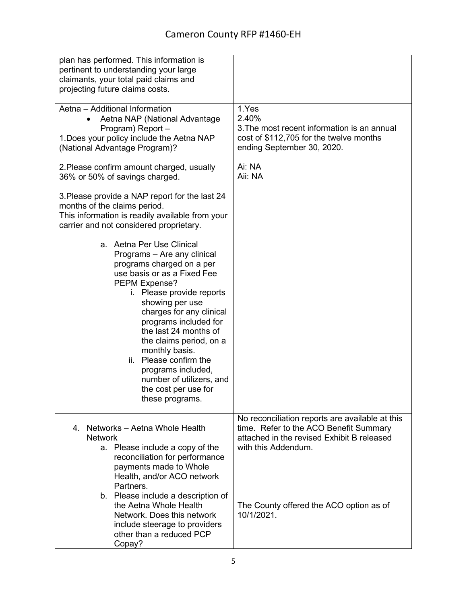| plan has performed. This information is<br>pertinent to understanding your large<br>claimants, your total paid claims and<br>projecting future claims costs.                                                                                                                                                                                                                                                                               |                                                                                                                                                                |
|--------------------------------------------------------------------------------------------------------------------------------------------------------------------------------------------------------------------------------------------------------------------------------------------------------------------------------------------------------------------------------------------------------------------------------------------|----------------------------------------------------------------------------------------------------------------------------------------------------------------|
| Aetna - Additional Information<br>Aetna NAP (National Advantage<br>Program) Report-<br>1. Does your policy include the Aetna NAP<br>(National Advantage Program)?                                                                                                                                                                                                                                                                          | 1.Yes<br>2.40%<br>3. The most recent information is an annual<br>cost of \$112,705 for the twelve months<br>ending September 30, 2020.                         |
| 2. Please confirm amount charged, usually<br>36% or 50% of savings charged.                                                                                                                                                                                                                                                                                                                                                                | Ai: NA<br>Aii: NA                                                                                                                                              |
| 3. Please provide a NAP report for the last 24<br>months of the claims period.<br>This information is readily available from your<br>carrier and not considered proprietary.                                                                                                                                                                                                                                                               |                                                                                                                                                                |
| a. Aetna Per Use Clinical<br>Programs - Are any clinical<br>programs charged on a per<br>use basis or as a Fixed Fee<br>PEPM Expense?<br>i. Please provide reports<br>showing per use<br>charges for any clinical<br>programs included for<br>the last 24 months of<br>the claims period, on a<br>monthly basis.<br>Please confirm the<br>ii.<br>programs included,<br>number of utilizers, and<br>the cost per use for<br>these programs. |                                                                                                                                                                |
| 4. Networks - Aetna Whole Health<br><b>Network</b><br>a. Please include a copy of the<br>reconciliation for performance<br>payments made to Whole<br>Health, and/or ACO network<br>Partners.                                                                                                                                                                                                                                               | No reconciliation reports are available at this<br>time. Refer to the ACO Benefit Summary<br>attached in the revised Exhibit B released<br>with this Addendum. |
| b. Please include a description of<br>the Aetna Whole Health<br>Network. Does this network<br>include steerage to providers<br>other than a reduced PCP<br>Copay?                                                                                                                                                                                                                                                                          | The County offered the ACO option as of<br>10/1/2021.                                                                                                          |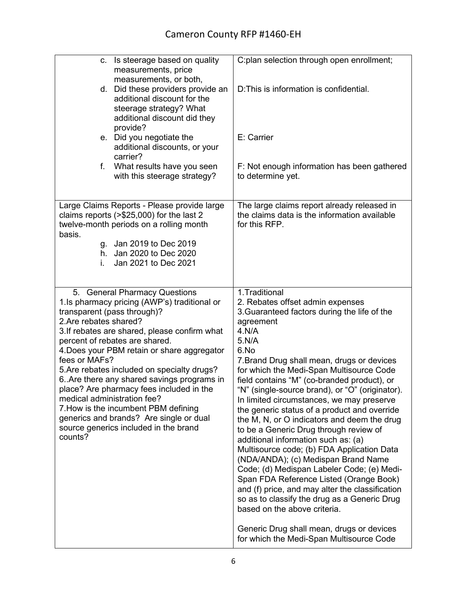| Is steerage based on quality<br>C.<br>measurements, price<br>measurements, or both,<br>d. Did these providers provide an<br>additional discount for the<br>steerage strategy? What<br>additional discount did they<br>provide?<br>e. Did you negotiate the<br>additional discounts, or your<br>carrier?<br>f.                                                                                                                                                                                                                                                                                             | C:plan selection through open enrollment;<br>D: This is information is confidential.<br>E: Carrier                                                                                                                                                                                                                                                                                                                                                                                                                                                                                                                                                                                                                                                                                                                                                                                                                                                                           |
|-----------------------------------------------------------------------------------------------------------------------------------------------------------------------------------------------------------------------------------------------------------------------------------------------------------------------------------------------------------------------------------------------------------------------------------------------------------------------------------------------------------------------------------------------------------------------------------------------------------|------------------------------------------------------------------------------------------------------------------------------------------------------------------------------------------------------------------------------------------------------------------------------------------------------------------------------------------------------------------------------------------------------------------------------------------------------------------------------------------------------------------------------------------------------------------------------------------------------------------------------------------------------------------------------------------------------------------------------------------------------------------------------------------------------------------------------------------------------------------------------------------------------------------------------------------------------------------------------|
| What results have you seen<br>with this steerage strategy?                                                                                                                                                                                                                                                                                                                                                                                                                                                                                                                                                | F: Not enough information has been gathered<br>to determine yet.                                                                                                                                                                                                                                                                                                                                                                                                                                                                                                                                                                                                                                                                                                                                                                                                                                                                                                             |
| Large Claims Reports - Please provide large<br>claims reports $(>\$25,000)$ for the last 2<br>twelve-month periods on a rolling month<br>basis.<br>g. Jan 2019 to Dec 2019<br>h. Jan 2020 to Dec 2020<br>Jan 2021 to Dec 2021<br>i.                                                                                                                                                                                                                                                                                                                                                                       | The large claims report already released in<br>the claims data is the information available<br>for this RFP.                                                                                                                                                                                                                                                                                                                                                                                                                                                                                                                                                                                                                                                                                                                                                                                                                                                                 |
| 5. General Pharmacy Questions<br>1.Is pharmacy pricing (AWP's) traditional or<br>transparent (pass through)?<br>2. Are rebates shared?<br>3. If rebates are shared, please confirm what<br>percent of rebates are shared.<br>4. Does your PBM retain or share aggregator<br>fees or MAFs?<br>5. Are rebates included on specialty drugs?<br>6. Are there any shared savings programs in<br>place? Are pharmacy fees included in the<br>medical administration fee?<br>7. How is the incumbent PBM defining<br>generics and brands? Are single or dual<br>source generics included in the brand<br>counts? | 1. Traditional<br>2. Rebates offset admin expenses<br>3. Guaranteed factors during the life of the<br>agreement<br>4.N/A<br>5.N/A<br>6.No<br>7. Brand Drug shall mean, drugs or devices<br>for which the Medi-Span Multisource Code<br>field contains "M" (co-branded product), or<br>"N" (single-source brand), or "O" (originator).<br>In limited circumstances, we may preserve<br>the generic status of a product and override<br>the M, N, or O indicators and deem the drug<br>to be a Generic Drug through review of<br>additional information such as: (a)<br>Multisource code; (b) FDA Application Data<br>(NDA/ANDA); (c) Medispan Brand Name<br>Code; (d) Medispan Labeler Code; (e) Medi-<br>Span FDA Reference Listed (Orange Book)<br>and (f) price, and may alter the classification<br>so as to classify the drug as a Generic Drug<br>based on the above criteria.<br>Generic Drug shall mean, drugs or devices<br>for which the Medi-Span Multisource Code |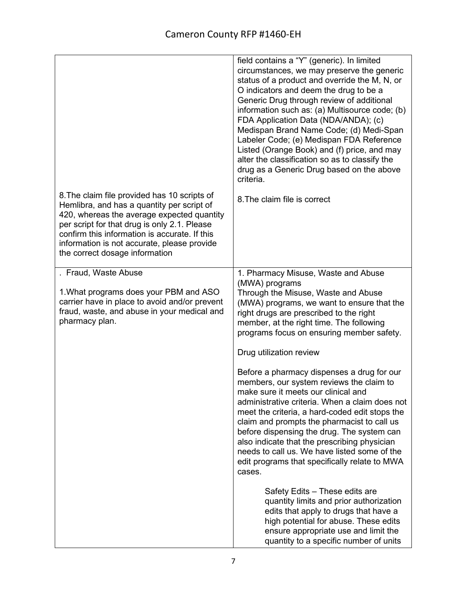|                                                                                                                                                                                                                                                                                                                            | field contains a "Y" (generic). In limited<br>circumstances, we may preserve the generic<br>status of a product and override the M, N, or<br>O indicators and deem the drug to be a<br>Generic Drug through review of additional<br>information such as: (a) Multisource code; (b)<br>FDA Application Data (NDA/ANDA); (c)<br>Medispan Brand Name Code; (d) Medi-Span<br>Labeler Code; (e) Medispan FDA Reference<br>Listed (Orange Book) and (f) price, and may<br>alter the classification so as to classify the<br>drug as a Generic Drug based on the above<br>criteria. |
|----------------------------------------------------------------------------------------------------------------------------------------------------------------------------------------------------------------------------------------------------------------------------------------------------------------------------|------------------------------------------------------------------------------------------------------------------------------------------------------------------------------------------------------------------------------------------------------------------------------------------------------------------------------------------------------------------------------------------------------------------------------------------------------------------------------------------------------------------------------------------------------------------------------|
| 8. The claim file provided has 10 scripts of<br>Hemlibra, and has a quantity per script of<br>420, whereas the average expected quantity<br>per script for that drug is only 2.1. Please<br>confirm this information is accurate. If this<br>information is not accurate, please provide<br>the correct dosage information | 8. The claim file is correct                                                                                                                                                                                                                                                                                                                                                                                                                                                                                                                                                 |
| . Fraud, Waste Abuse<br>1. What programs does your PBM and ASO<br>carrier have in place to avoid and/or prevent<br>fraud, waste, and abuse in your medical and<br>pharmacy plan.                                                                                                                                           | 1. Pharmacy Misuse, Waste and Abuse<br>(MWA) programs<br>Through the Misuse, Waste and Abuse<br>(MWA) programs, we want to ensure that the<br>right drugs are prescribed to the right<br>member, at the right time. The following<br>programs focus on ensuring member safety.<br>Drug utilization review                                                                                                                                                                                                                                                                    |
|                                                                                                                                                                                                                                                                                                                            | Before a pharmacy dispenses a drug for our<br>members, our system reviews the claim to<br>make sure it meets our clinical and<br>administrative criteria. When a claim does not<br>meet the criteria, a hard-coded edit stops the<br>claim and prompts the pharmacist to call us<br>before dispensing the drug. The system can<br>also indicate that the prescribing physician<br>needs to call us. We have listed some of the<br>edit programs that specifically relate to MWA<br>cases.                                                                                    |
|                                                                                                                                                                                                                                                                                                                            | Safety Edits - These edits are<br>quantity limits and prior authorization<br>edits that apply to drugs that have a<br>high potential for abuse. These edits<br>ensure appropriate use and limit the<br>quantity to a specific number of units                                                                                                                                                                                                                                                                                                                                |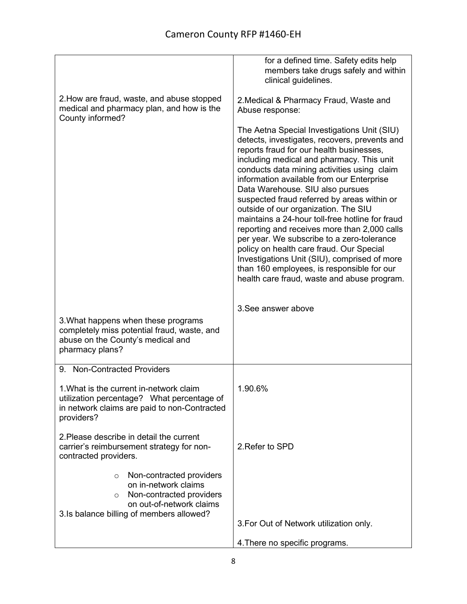|                                                                                                                                                                              | for a defined time. Safety edits help<br>members take drugs safely and within<br>clinical guidelines.                                                                                                                                                                                                                                                                                                                                                                                                                                                                                                                                                                                                                                                  |
|------------------------------------------------------------------------------------------------------------------------------------------------------------------------------|--------------------------------------------------------------------------------------------------------------------------------------------------------------------------------------------------------------------------------------------------------------------------------------------------------------------------------------------------------------------------------------------------------------------------------------------------------------------------------------------------------------------------------------------------------------------------------------------------------------------------------------------------------------------------------------------------------------------------------------------------------|
| 2. How are fraud, waste, and abuse stopped<br>medical and pharmacy plan, and how is the<br>County informed?                                                                  | 2. Medical & Pharmacy Fraud, Waste and<br>Abuse response:                                                                                                                                                                                                                                                                                                                                                                                                                                                                                                                                                                                                                                                                                              |
|                                                                                                                                                                              | The Aetna Special Investigations Unit (SIU)<br>detects, investigates, recovers, prevents and<br>reports fraud for our health businesses,<br>including medical and pharmacy. This unit<br>conducts data mining activities using claim<br>information available from our Enterprise<br>Data Warehouse. SIU also pursues<br>suspected fraud referred by areas within or<br>outside of our organization. The SIU<br>maintains a 24-hour toll-free hotline for fraud<br>reporting and receives more than 2,000 calls<br>per year. We subscribe to a zero-tolerance<br>policy on health care fraud. Our Special<br>Investigations Unit (SIU), comprised of more<br>than 160 employees, is responsible for our<br>health care fraud, waste and abuse program. |
|                                                                                                                                                                              | 3. See answer above                                                                                                                                                                                                                                                                                                                                                                                                                                                                                                                                                                                                                                                                                                                                    |
| 3. What happens when these programs<br>completely miss potential fraud, waste, and<br>abuse on the County's medical and<br>pharmacy plans?                                   |                                                                                                                                                                                                                                                                                                                                                                                                                                                                                                                                                                                                                                                                                                                                                        |
| 9. Non-Contracted Providers                                                                                                                                                  |                                                                                                                                                                                                                                                                                                                                                                                                                                                                                                                                                                                                                                                                                                                                                        |
| 1. What is the current in-network claim<br>utilization percentage? What percentage of<br>in network claims are paid to non-Contracted<br>providers?                          | 1.90.6%                                                                                                                                                                                                                                                                                                                                                                                                                                                                                                                                                                                                                                                                                                                                                |
| 2. Please describe in detail the current<br>carrier's reimbursement strategy for non-<br>contracted providers.                                                               | 2. Refer to SPD                                                                                                                                                                                                                                                                                                                                                                                                                                                                                                                                                                                                                                                                                                                                        |
| Non-contracted providers<br>$\Omega$<br>on in-network claims<br>Non-contracted providers<br>$\Omega$<br>on out-of-network claims<br>3.Is balance billing of members allowed? |                                                                                                                                                                                                                                                                                                                                                                                                                                                                                                                                                                                                                                                                                                                                                        |
|                                                                                                                                                                              | 3. For Out of Network utilization only.                                                                                                                                                                                                                                                                                                                                                                                                                                                                                                                                                                                                                                                                                                                |
|                                                                                                                                                                              | 4. There no specific programs.                                                                                                                                                                                                                                                                                                                                                                                                                                                                                                                                                                                                                                                                                                                         |